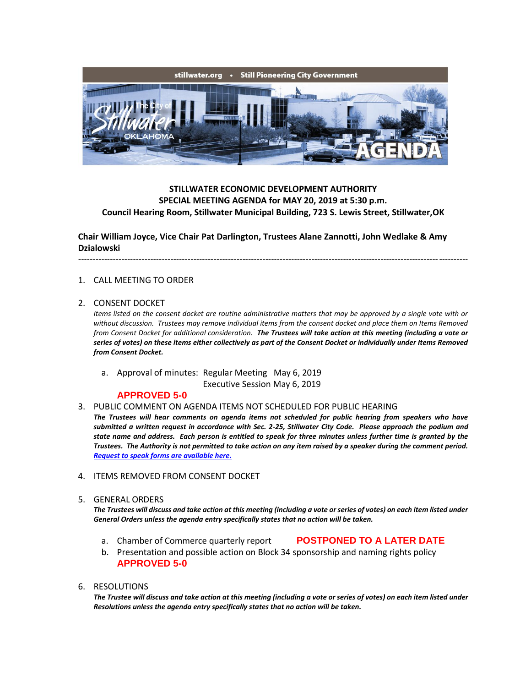

# **STILLWATER ECONOMIC DEVELOPMENT AUTHORITY SPECIAL MEETING AGENDA for MAY 20, 2019 at 5:30 p.m. Council Hearing Room, Stillwater Municipal Building, 723 S. Lewis Street, Stillwater,OK**

**Chair William Joyce, Vice Chair Pat Darlington, Trustees Alane Zannotti, John Wedlake & Amy Dzialowski**

---------------------------------------------------------------------------------------------------------------------------------------

# 1. CALL MEETING TO ORDER

## 2. CONSENT DOCKET

*Items listed on the consent docket are routine administrative matters that may be approved by a single vote with or without discussion. Trustees may remove individual items from the consent docket and place them on Items Removed from Consent Docket for additional consideration. The Trustees will take action at this meeting (including a vote or series of votes) on these items either collectively as part of the Consent Docket or individually under Items Removed from Consent Docket.*

a. Approval of minutes: Regular Meeting May 6, 2019

Executive Session May 6, 2019

## **APPROVED 5-0**

### 3. PUBLIC COMMENT ON AGENDA ITEMS NOT SCHEDULED FOR PUBLIC HEARING

*The Trustees will hear comments on agenda items not scheduled for public hearing from speakers who have submitted a written request in accordance with Sec. 2-25, Stillwater City Code. Please approach the podium and state name and address. Each person is entitled to speak for three minutes unless further time is granted by the Trustees. The Authority is not permitted to take action on any item raised by a speaker during the comment period. [Request to speak forms are available here.](http://stillwater.org/document/request_to_speak_at_city_council.php)*

# 4. ITEMS REMOVED FROM CONSENT DOCKET

5. GENERAL ORDERS

*The Trustees will discuss and take action at this meeting (including a vote or series of votes) on each item listed under General Orders unless the agenda entry specifically states that no action will be taken.*

a. Chamber of Commerce quarterly report **POSTPONED TO A LATER DATE**

b. Presentation and possible action on Block 34 sponsorship and naming rights policy **APPROVED 5-0**

# 6. RESOLUTIONS

*The Trustee will discuss and take action at this meeting (including a vote or series of votes) on each item listed under Resolutions unless the agenda entry specifically states that no action will be taken.*